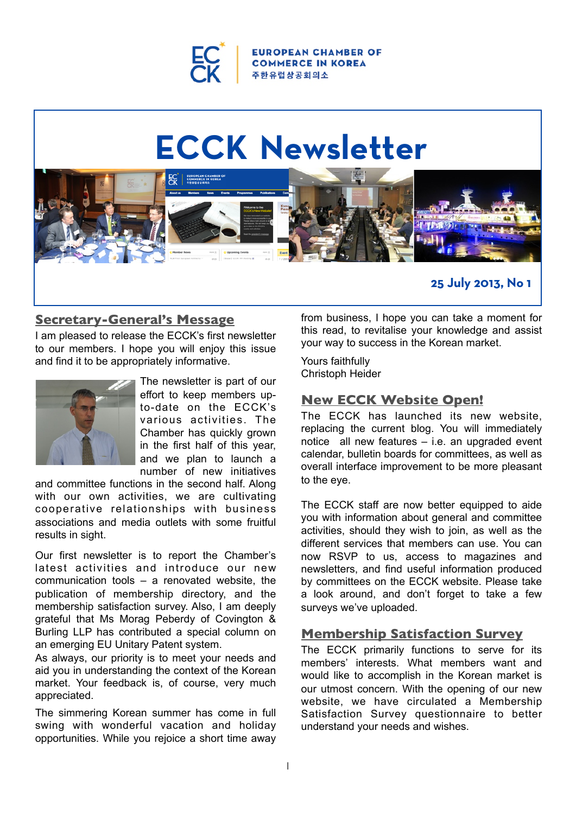

**OPEAN CHAMBER OF COMMERCE IN KOREA** 주 **한 유**럽 상 공 회 의 소

# **ECCK Newsletter**



# **Secretary-General's Message**

I am pleased to release the ECCK's first newsletter to our members. I hope you will enjoy this issue and find it to be appropriately informative.



The newsletter is part of our effort to keep members upto-date on the ECCK's various activities. The Chamber has quickly grown in the first half of this year, and we plan to launch a number of new initiatives

and committee functions in the second half. Along with our own activities, we are cultivating cooperative relationships with business associations and media outlets with some fruitful results in sight.

Our first newsletter is to report the Chamber's latest activities and introduce our new communication tools – a renovated website, the publication of membership directory, and the membership satisfaction survey. Also, I am deeply grateful that Ms Morag Peberdy of Covington & Burling LLP has contributed a special column on an emerging EU Unitary Patent system.

As always, our priority is to meet your needs and aid you in understanding the context of the Korean market. Your feedback is, of course, very much appreciated.

The simmering Korean summer has come in full swing with wonderful vacation and holiday opportunities. While you rejoice a short time away

from business, I hope you can take a moment for this read, to revitalise your knowledge and assist your way to success in the Korean market.

Yours faithfully Christoph Heider

# **New ECCK Website Open!**

The ECCK has launched its new website, replacing the current blog. You will immediately notice all new features – i.e. an upgraded event calendar, bulletin boards for committees, as well as overall interface improvement to be more pleasant to the eye.

The ECCK staff are now better equipped to aide you with information about general and committee activities, should they wish to join, as well as the different services that members can use. You can now RSVP to us, access to magazines and newsletters, and find useful information produced by committees on the ECCK website. Please take a look around, and don't forget to take a few surveys we've uploaded.

# **Membership Satisfaction Survey**

The ECCK primarily functions to serve for its members' interests. What members want and would like to accomplish in the Korean market is our utmost concern. With the opening of our new website, we have circulated a Membership Satisfaction Survey questionnaire to better understand your needs and wishes.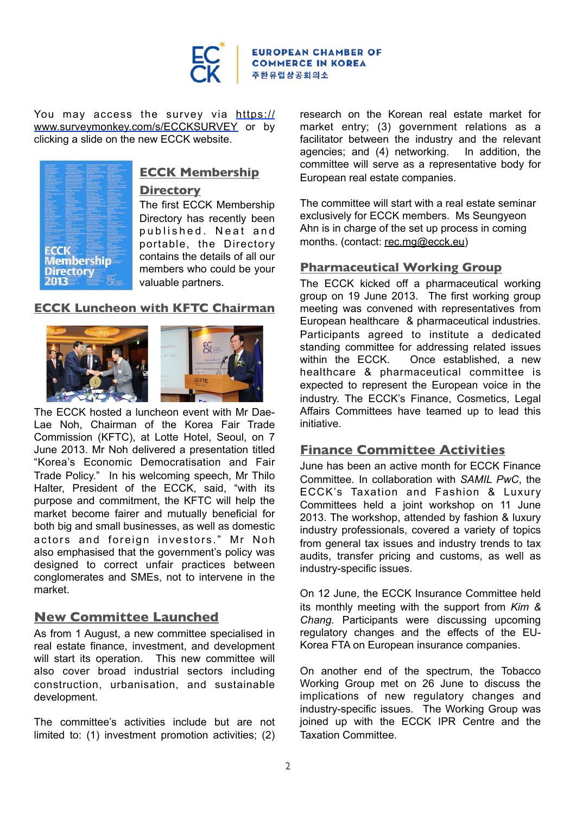

You may access the survey via [https://](https://www.surveymonkey.com/s/ECCKSURVEY) [www.surveymonkey.com/s/ECCKSURVEY](https://www.surveymonkey.com/s/ECCKSURVEY) or by clicking a slide on the new ECCK website.



# **ECCK Membership**

#### **Directory**

The first ECCK Membership Directory has recently been published. Neat and portable, the Directory contains the details of all our members who could be your valuable partners.

#### **ECCK Luncheon with KFTC Chairman**





The ECCK hosted a luncheon event with Mr Dae-Lae Noh, Chairman of the Korea Fair Trade Commission (KFTC), at Lotte Hotel, Seoul, on 7 June 2013. Mr Noh delivered a presentation titled "Korea's Economic Democratisation and Fair Trade Policy." In his welcoming speech, Mr Thilo Halter, President of the ECCK, said, "with its purpose and commitment, the KFTC will help the market become fairer and mutually beneficial for both big and small businesses, as well as domestic actors and foreign investors." Mr Noh also emphasised that the government's policy was designed to correct unfair practices between conglomerates and SMEs, not to intervene in the market.

# **New Committee Launched**

As from 1 August, a new committee specialised in real estate finance, investment, and development will start its operation. This new committee will also cover broad industrial sectors including construction, urbanisation, and sustainable development.

The committee's activities include but are not limited to: (1) investment promotion activities; (2) research on the Korean real estate market for market entry; (3) government relations as a facilitator between the industry and the relevant agencies; and (4) networking. In addition, the committee will serve as a representative body for European real estate companies.

The committee will start with a real estate seminar exclusively for ECCK members. Ms Seungyeon Ahn is in charge of the set up process in coming months. (contact: [rec.mg@ecck.eu\)](mailto:rec.mg@ecck.eu)

#### **Pharmaceutical Working Group**

The ECCK kicked off a pharmaceutical working group on 19 June 2013. The first working group meeting was convened with representatives from European healthcare & pharmaceutical industries. Participants agreed to institute a dedicated standing committee for addressing related issues within the ECCK. Once established, a new healthcare & pharmaceutical committee is expected to represent the European voice in the industry. The ECCK's Finance, Cosmetics, Legal Affairs Committees have teamed up to lead this initiative.

#### **Finance Committee Activities**

June has been an active month for ECCK Finance Committee. In collaboration with *SAMIL PwC*, the ECCK's Taxation and Fashion & Luxury Committees held a joint workshop on 11 June 2013. The workshop, attended by fashion & luxury industry professionals, covered a variety of topics from general tax issues and industry trends to tax audits, transfer pricing and customs, as well as industry-specific issues.

On 12 June, the ECCK Insurance Committee held its monthly meeting with the support from *Kim & Chang.* Participants were discussing upcoming regulatory changes and the effects of the EU-Korea FTA on European insurance companies.

On another end of the spectrum, the Tobacco Working Group met on 26 June to discuss the implications of new regulatory changes and industry-specific issues. The Working Group was joined up with the ECCK IPR Centre and the Taxation Committee.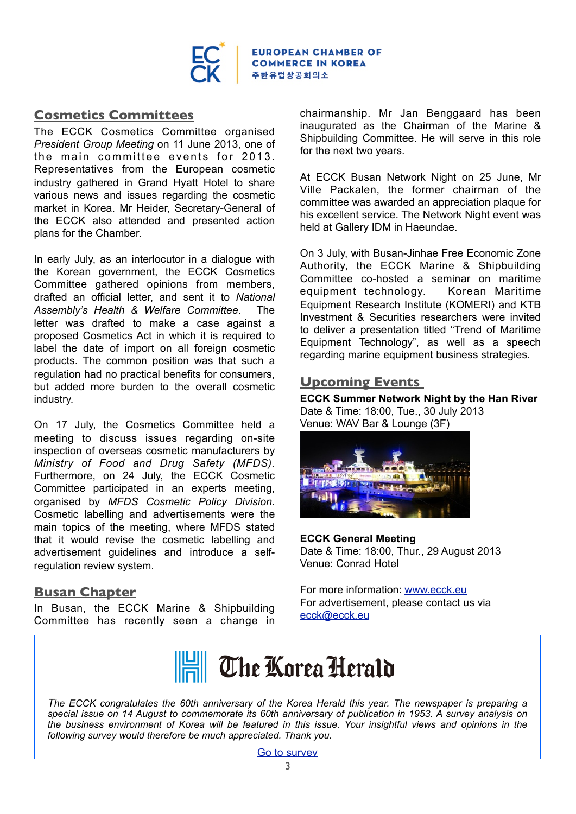

**EUROPEAN CHAMBER OF COMMERCE IN KOREA** 주한유럽상공회의소

# **Cosmetics Committees**

The ECCK Cosmetics Committee organised *President Group Meeting* on 11 June 2013, one of the main committee events for 2013. Representatives from the European cosmetic industry gathered in Grand Hyatt Hotel to share various news and issues regarding the cosmetic market in Korea. Mr Heider, Secretary-General of the ECCK also attended and presented action plans for the Chamber.

In early July, as an interlocutor in a dialogue with the Korean government, the ECCK Cosmetics Committee gathered opinions from members, drafted an official letter, and sent it to *National Assembly's Health & Welfare Committee*. The letter was drafted to make a case against a proposed Cosmetics Act in which it is required to label the date of import on all foreign cosmetic products. The common position was that such a regulation had no practical benefits for consumers, but added more burden to the overall cosmetic industry.

On 17 July, the Cosmetics Committee held a meeting to discuss issues regarding on-site inspection of overseas cosmetic manufacturers by *Ministry of Food and Drug Safety (MFDS).* Furthermore, on 24 July, the ECCK Cosmetic Committee participated in an experts meeting, organised by *MFDS Cosmetic Policy Division.* Cosmetic labelling and advertisements were the main topics of the meeting, where MFDS stated that it would revise the cosmetic labelling and advertisement guidelines and introduce a selfregulation review system.

# **Busan Chapter**

In Busan, the ECCK Marine & Shipbuilding Committee has recently seen a change in

chairmanship. Mr Jan Benggaard has been inaugurated as the Chairman of the Marine & Shipbuilding Committee. He will serve in this role for the next two years.

At ECCK Busan Network Night on 25 June, Mr Ville Packalen, the former chairman of the committee was awarded an appreciation plaque for his excellent service. The Network Night event was held at Gallery IDM in Haeundae.

On 3 July, with Busan-Jinhae Free Economic Zone Authority, the ECCK Marine & Shipbuilding Committee co-hosted a seminar on maritime equipment technology. Korean Maritime Equipment Research Institute (KOMERI) and KTB Investment & Securities researchers were invited to deliver a presentation titled "Trend of Maritime Equipment Technology", as well as a speech regarding marine equipment business strategies.

# **Upcoming Events**

**ECCK Summer Network Night by the Han River** Date & Time: 18:00, Tue., 30 July 2013 Venue: WAV Bar & Lounge (3F)



#### **ECCK General Meeting**  Date & Time: 18:00, Thur., 29 August 2013 Venue: Conrad Hotel

For more information: [www.ecck.eu](http://www.ecck.eu) For advertisement, please contact us via [ecck@ecck.eu](mailto:ecck@ecck.eu)



*The ECCK congratulates the 60th anniversary of the Korea Herald this year. The newspaper is preparing a special issue on 14 August to commemorate its 60th anniversary of publication in 1953. A survey analysis on the business environment of Korea will be featured in this issue. Your insightful views and opinions in the following survey would therefore be much appreciated. Thank you.*

[Go to survey](https://docs.google.com/forms/d/1UUrmE2GLSWeIZ5tvs6hHwM7eLgzzVcE4mqvH32yu-nI/viewform)